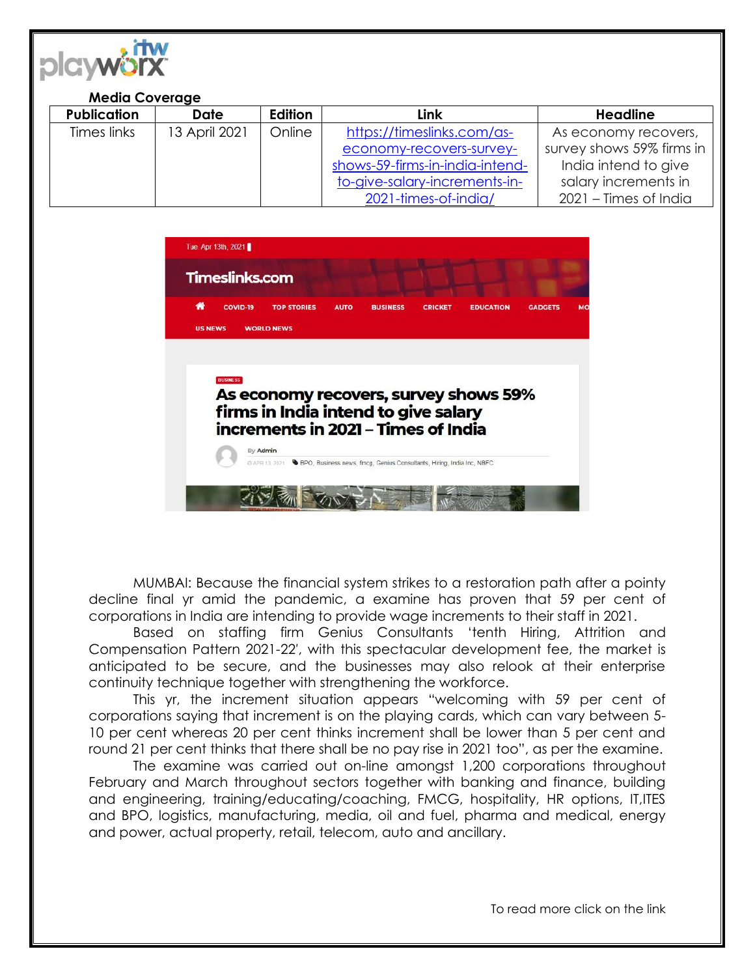

## **Media Coverage**

| <b>Publication</b> | <b>Date</b>   | <b>Edition</b> | Link                            | <b>Headline</b>           |
|--------------------|---------------|----------------|---------------------------------|---------------------------|
| Times links        | 13 April 2021 | Online         | https://timeslinks.com/as-      | As economy recovers,      |
|                    |               |                | economy-recovers-survey-        | survey shows 59% firms in |
|                    |               |                | shows-59-firms-in-india-intend- | India intend to give      |
|                    |               |                | to-give-salary-increments-in-   | salary increments in      |
|                    |               |                | 2021-times-of-india/            | 2021 – Times of India     |



MUMBAI: Because the financial system strikes to a restoration path after a pointy decline final yr amid the pandemic, a examine has proven that 59 per cent of corporations in India are intending to provide wage increments to their staff in 2021.

Based on staffing firm Genius Consultants 'tenth Hiring, Attrition and Compensation Pattern 2021-22′, with this spectacular development fee, the market is anticipated to be secure, and the businesses may also relook at their enterprise continuity technique together with strengthening the workforce.

This yr, the increment situation appears "welcoming with 59 per cent of corporations saying that increment is on the playing cards, which can vary between 5- 10 per cent whereas 20 per cent thinks increment shall be lower than 5 per cent and round 21 per cent thinks that there shall be no pay rise in 2021 too", as per the examine.

The examine was carried out on-line amongst 1,200 corporations throughout February and March throughout sectors together with banking and finance, building and engineering, training/educating/coaching, FMCG, hospitality, HR options, IT,ITES and BPO, logistics, manufacturing, media, oil and fuel, pharma and medical, energy and power, actual property, retail, telecom, auto and ancillary.

To read more click on the link